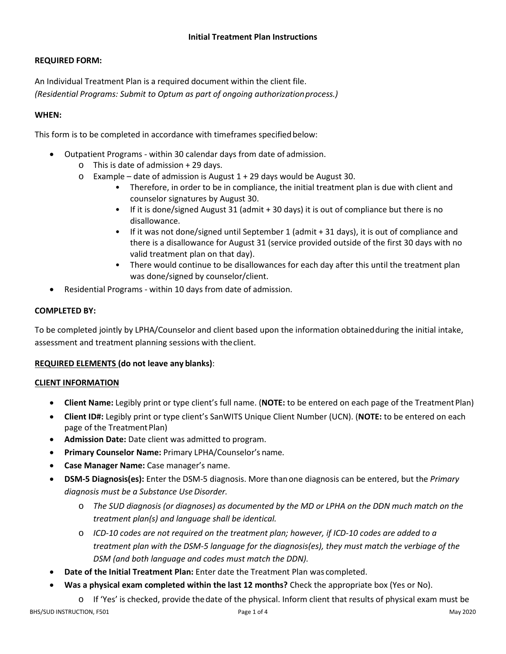## **REQUIRED FORM:**

An Individual Treatment Plan is a required document within the client file. *(Residential Programs: Submit to Optum as part of ongoing authorizationprocess.)*

### **WHEN:**

This form is to be completed in accordance with timeframes specifiedbelow:

- Outpatient Programs within 30 calendar days from date of admission.
	- $\circ$  This is date of admission + 29 days.
	- o Example date of admission is August 1 + 29 days would be August 30.
		- Therefore, in order to be in compliance, the initial treatment plan is due with client and counselor signatures by August 30.
		- If it is done/signed August 31 (admit + 30 days) it is out of compliance but there is no disallowance.
		- If it was not done/signed until September 1 (admit + 31 days), it is out of compliance and there is a disallowance for August 31 (service provided outside of the first 30 days with no valid treatment plan on that day).
		- There would continue to be disallowances for each day after this until the treatment plan was done/signed by counselor/client.
- Residential Programs within 10 days from date of admission.

#### **COMPLETED BY:**

To be completed jointly by LPHA/Counselor and client based upon the information obtainedduring the initial intake, assessment and treatment planning sessions with theclient.

#### **REQUIRED ELEMENTS (do not leave any blanks)**:

#### **CLIENT INFORMATION**

- **Client Name:** Legibly print or type client's full name. (**NOTE:** to be entered on each page of the TreatmentPlan)
- **Client ID#:** Legibly print or type client's SanWITS Unique Client Number (UCN). (**NOTE:** to be entered on each page of the Treatment Plan)
- **Admission Date:** Date client was admitted to program.
- **Primary Counselor Name:** Primary LPHA/Counselor's name.
- **Case Manager Name:** Case manager's name.
- **DSM-5 Diagnosis(es):** Enter the DSM-5 diagnosis. More thanone diagnosis can be entered, but the *Primary diagnosis must be a Substance UseDisorder.*
	- o *The SUD diagnosis (or diagnoses) as documented by the MD or LPHA on the DDN much match on the treatment plan(s) and language shall be identical.*
	- o *ICD-10 codes are not required on the treatment plan; however, if ICD-10 codes are added to a treatment plan with the DSM-5 language for the diagnosis(es), they must match the verbiage of the DSM (and both language and codes must match the DDN).*
- **Date of the Initial Treatment Plan:** Enter date the Treatment Plan was completed.
- **Was a physical exam completed within the last 12 months?** Check the appropriate box (Yes or No).

BHS/SUD INSTRUCTION, F501 Nav 2020 o If 'Yes' is checked, provide thedate of the physical. Inform client that results of physical exam must be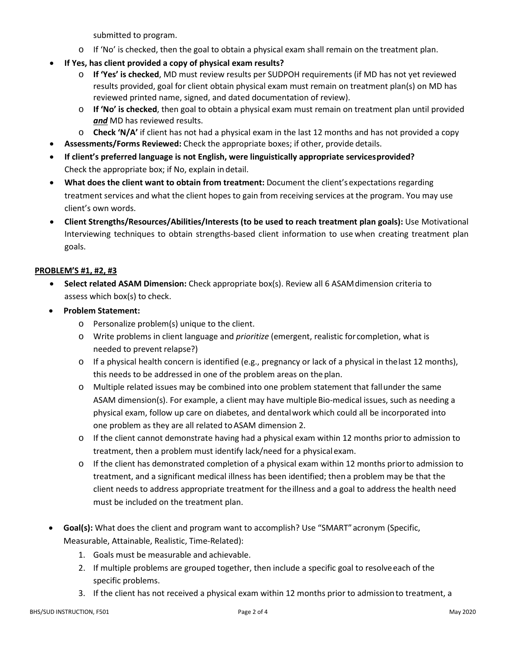submitted to program.

- $\circ$  If 'No' is checked, then the goal to obtain a physical exam shall remain on the treatment plan.
- **If Yes, has client provided a copy of physical exam results?**
	- o **If 'Yes' is checked**, MD must review results per SUDPOH requirements (if MD has not yet reviewed results provided, goal for client obtain physical exam must remain on treatment plan(s) on MD has reviewed printed name, signed, and dated documentation of review).
	- o **If 'No' is checked**, then goal to obtain a physical exam must remain on treatment plan until provided *and* MD has reviewed results.
	- o **Check 'N/A'** if client has not had a physical exam in the last 12 months and has not provided a copy
- **Assessments/Forms Reviewed:** Check the appropriate boxes; if other, provide details.
- **If client's preferred language is not English, were linguistically appropriate servicesprovided?** Check the appropriate box; if No, explain indetail.
- **What does the client want to obtain from treatment:** Document the client'sexpectations regarding treatment services and what the client hopes to gain from receiving services at the program. You may use client's own words.
- **Client Strengths/Resources/Abilities/Interests (to be used to reach treatment plan goals):** Use Motivational Interviewing techniques to obtain strengths-based client information to use when creating treatment plan goals.

# **PROBLEM'S #1, #2, #3**

- **Select related ASAM Dimension:** Check appropriate box(s). Review all 6 ASAMdimension criteria to assess which box(s) to check.
- **Problem Statement:**
	- o Personalize problem(s) unique to the client.
	- o Write problems in client language and *prioritize* (emergent, realistic forcompletion, what is needed to prevent relapse?)
	- o If a physical health concern is identified (e.g., pregnancy or lack of a physical in thelast 12 months), this needs to be addressed in one of the problem areas on the plan.
	- o Multiple related issues may be combined into one problem statement that fallunder the same ASAM dimension(s). For example, a client may have multiple Bio-medical issues, such as needing a physical exam, follow up care on diabetes, and dentalwork which could all be incorporated into one problem as they are all related to ASAM dimension 2.
	- $\circ$  If the client cannot demonstrate having had a physical exam within 12 months prior to admission to treatment, then a problem must identify lack/need for a physicalexam.
	- $\circ$  If the client has demonstrated completion of a physical exam within 12 months prior to admission to treatment, and a significant medical illness has been identified; then a problem may be that the client needs to address appropriate treatment for theillness and a goal to address the health need must be included on the treatment plan.
- **Goal(s):** What does the client and program want to accomplish? Use "SMART" acronym (Specific, Measurable, Attainable, Realistic, Time-Related):
	- 1. Goals must be measurable and achievable.
	- 2. If multiple problems are grouped together, then include a specific goal to resolveeach of the specific problems.
	- 3. If the client has not received a physical exam within 12 months prior to admissionto treatment, a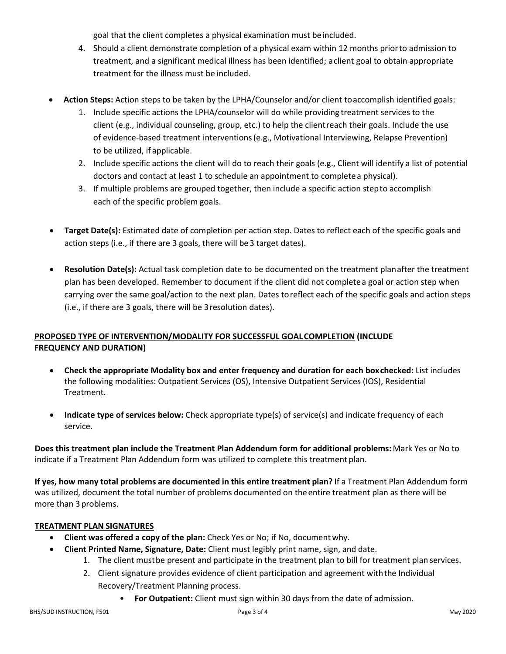goal that the client completes a physical examination must beincluded.

- 4. Should a client demonstrate completion of a physical exam within 12 months priorto admission to treatment, and a significant medical illness has been identified; aclient goal to obtain appropriate treatment for the illness must be included.
- **Action Steps:** Action steps to be taken by the LPHA/Counselor and/or client toaccomplish identified goals:
	- 1. Include specific actions the LPHA/counselor will do while providing treatment services to the client (e.g., individual counseling, group, etc.) to help the clientreach their goals. Include the use of evidence-based treatment interventions(e.g., Motivational Interviewing, Relapse Prevention) to be utilized, if applicable.
	- 2. Include specific actions the client will do to reach their goals (e.g., Client will identify a list of potential doctors and contact at least 1 to schedule an appointment to completea physical).
	- 3. If multiple problems are grouped together, then include a specific action stepto accomplish each of the specific problem goals.
- **Target Date(s):** Estimated date of completion per action step. Dates to reflect each of the specific goals and action steps (i.e., if there are 3 goals, there will be 3 target dates).
- **Resolution Date(s):** Actual task completion date to be documented on the treatment planafter the treatment plan has been developed. Remember to document if the client did not completea goal or action step when carrying over the same goal/action to the next plan. Dates toreflect each of the specific goals and action steps (i.e., if there are 3 goals, there will be 3resolution dates).

# **PROPOSED TYPE OF INTERVENTION/MODALITY FOR SUCCESSFUL GOALCOMPLETION (INCLUDE FREQUENCY AND DURATION)**

- **Check the appropriate Modality box and enter frequency and duration for each boxchecked:** List includes the following modalities: Outpatient Services (OS), Intensive Outpatient Services (IOS), Residential Treatment.
- **Indicate type of services below:** Check appropriate type(s) of service(s) and indicate frequency of each service.

**Does this treatment plan include the Treatment Plan Addendum form for additional problems:** Mark Yes or No to indicate if a Treatment Plan Addendum form was utilized to complete this treatment plan.

**If yes, how many total problems are documented in this entire treatment plan?** If a Treatment Plan Addendum form was utilized, document the total number of problems documented on the entire treatment plan as there will be more than 3 problems.

# **TREATMENT PLAN SIGNATURES**

- **Client was offered a copy of the plan:** Check Yes or No; if No, documentwhy.
- **Client Printed Name, Signature, Date:** Client must legibly print name, sign, and date.
	- 1. The client mustbe present and participate in the treatment plan to bill for treatment plan services.
	- 2. Client signature provides evidence of client participation and agreement withthe Individual Recovery/Treatment Planning process.
		- **For Outpatient:** Client must sign within 30 days from the date of admission.